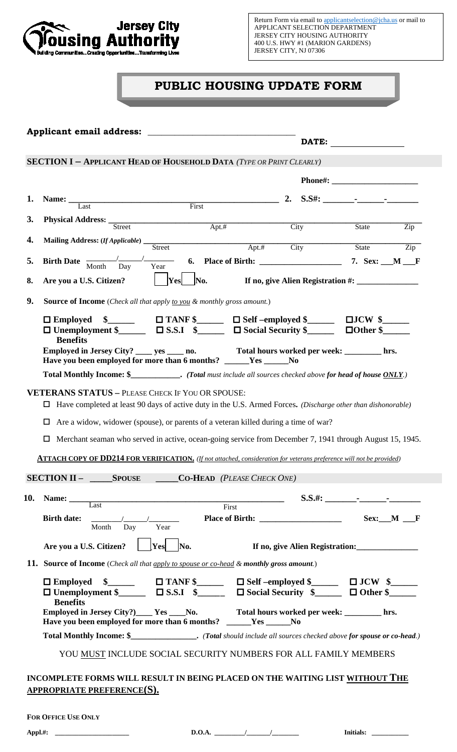

Return Form via email to [applicantselection@jcha.us](mailto:applicantselection@jcha.us) or mail to APPLICANT SELECTION DEPARTMENT JERSEY CITY HOUSING AUTHORITY 400 U.S. HWY #1 (MARION GARDENS) JERSEY CITY, NJ 07306

# **PUBLIC HOUSING UPDATE FORM**

|                                                                                                                                                                                                                                                                            | Applicant email address: New York Changes and September 2014.                                                                                                                                   |            | DATE:                                     |
|----------------------------------------------------------------------------------------------------------------------------------------------------------------------------------------------------------------------------------------------------------------------------|-------------------------------------------------------------------------------------------------------------------------------------------------------------------------------------------------|------------|-------------------------------------------|
| <b>SECTION I - APPLICANT HEAD OF HOUSEHOLD DATA (TYPE OR PRINT CLEARLY)</b>                                                                                                                                                                                                |                                                                                                                                                                                                 |            |                                           |
|                                                                                                                                                                                                                                                                            |                                                                                                                                                                                                 |            |                                           |
| 1.                                                                                                                                                                                                                                                                         |                                                                                                                                                                                                 |            |                                           |
| <b>Name:</b> Last First                                                                                                                                                                                                                                                    |                                                                                                                                                                                                 |            |                                           |
| <b>Physical Address:</b> Street Apt.# City                                                                                                                                                                                                                                 |                                                                                                                                                                                                 |            | <b>State</b><br>$\overline{\mathrm{Zip}}$ |
|                                                                                                                                                                                                                                                                            |                                                                                                                                                                                                 | Apt.# City | State<br>$\overline{Zip}$                 |
| Birth Date Month Day                                                                                                                                                                                                                                                       | Year                                                                                                                                                                                            |            |                                           |
| Are you a U.S. Citizen?                                                                                                                                                                                                                                                    | Yes <br>No.                                                                                                                                                                                     |            |                                           |
| <b>Source of Income</b> (Check all that apply to you & monthly gross amount.)                                                                                                                                                                                              |                                                                                                                                                                                                 |            |                                           |
|                                                                                                                                                                                                                                                                            |                                                                                                                                                                                                 |            |                                           |
| $\square$ Employed $\quad \S$ $\square$ $\square$ TANF $\S$ $\square$ $\square$ Self -employed $\S$ $\square$ $\square$ $\square$ $\square$<br>$\Box$ Unemployment \$____________ $\Box$ S.S.I \$_________ $\Box$ Social Security \$_______                                |                                                                                                                                                                                                 |            | $\Box$ Other \$                           |
| <b>Benefits</b>                                                                                                                                                                                                                                                            |                                                                                                                                                                                                 |            |                                           |
| Employed in Jersey City? _____ yes ______ no. Total hours worked per week: _______________ hrs.<br>Have you been employed for more than 6 months? ______Yes ______No                                                                                                       |                                                                                                                                                                                                 |            |                                           |
| Total Monthly Income: \$____________. (Total must include all sources checked above for head of house ONLY.)                                                                                                                                                               |                                                                                                                                                                                                 |            |                                           |
| □<br>$\Box$                                                                                                                                                                                                                                                                | Are a widow, widower (spouse), or parents of a veteran killed during a time of war?<br>Merchant seaman who served in active, ocean-going service from December 7, 1941 through August 15, 1945. |            |                                           |
| <b>ATTACH COPY OF DD214 FOR VERIFICATION.</b> (If not attached, consideration for veterans preference will not be provided)                                                                                                                                                |                                                                                                                                                                                                 |            |                                           |
|                                                                                                                                                                                                                                                                            |                                                                                                                                                                                                 |            |                                           |
| Name: Last<br><b>Birth date:</b><br>$\frac{1}{\sqrt{1-\frac{1}{2}}}\left( \frac{1}{\sqrt{1-\frac{1}{2}}}\right)$                                                                                                                                                           | First First                                                                                                                                                                                     |            |                                           |
| Day<br>Month                                                                                                                                                                                                                                                               | Year                                                                                                                                                                                            |            |                                           |
| Are you a U.S. Citizen?                                                                                                                                                                                                                                                    | No.<br>Yes                                                                                                                                                                                      |            | If no, give Alien Registration:           |
|                                                                                                                                                                                                                                                                            |                                                                                                                                                                                                 |            |                                           |
|                                                                                                                                                                                                                                                                            |                                                                                                                                                                                                 |            |                                           |
| $\Box$ Unemployment \$______ $\Box$ S.S.I \$_____ $\Box$ Social Security \$_____ $\Box$ Other \$_____                                                                                                                                                                      |                                                                                                                                                                                                 |            |                                           |
| <b>Benefits</b><br>Employed in Jersey City?)______ Yes _____No. Total hours worked per week: _____________ hrs.<br>Have you been employed for more than 6 months? _____Yes _____No                                                                                         |                                                                                                                                                                                                 |            |                                           |
| Total Monthly Income: \$________________. (Total should include all sources checked above for spouse or co-head.)                                                                                                                                                          |                                                                                                                                                                                                 |            |                                           |
|                                                                                                                                                                                                                                                                            | YOU MUST INCLUDE SOCIAL SECURITY NUMBERS FOR ALL FAMILY MEMBERS                                                                                                                                 |            |                                           |
| <b>SECTION II - SPOUSE CO-HEAD</b> (PLEASE CHECK ONE)<br>10.<br>11. Source of Income (Check all that apply to spouse or co-head & monthly gross amount.)<br>INCOMPLETE FORMS WILL RESULT IN BEING PLACED ON THE WAITING LIST WITHOUT THE<br>APPROPRIATE PREFERENCE $(S)$ . |                                                                                                                                                                                                 |            |                                           |
| <b>FOR OFFICE USE ONLY</b>                                                                                                                                                                                                                                                 |                                                                                                                                                                                                 |            |                                           |